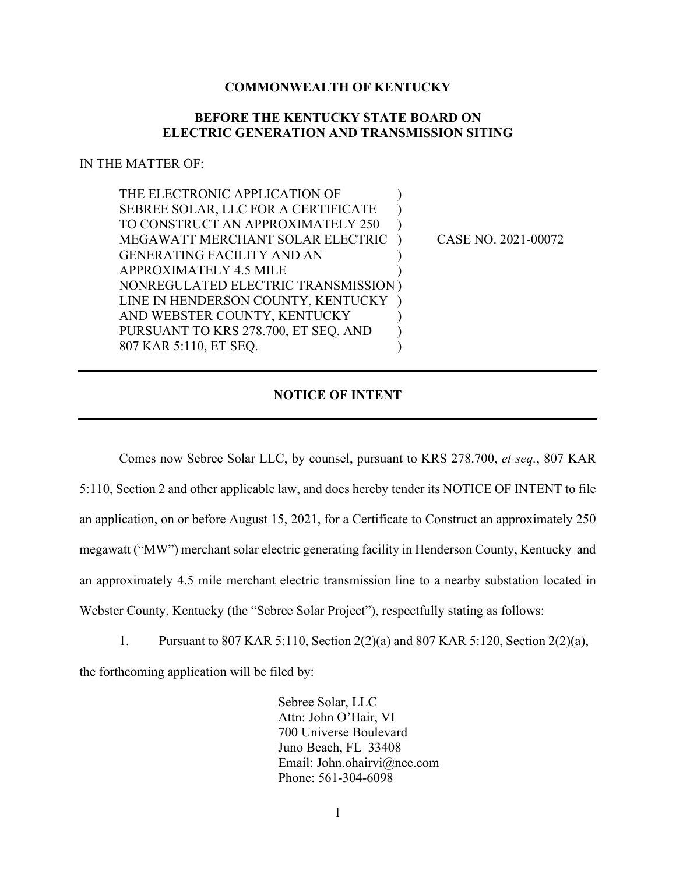## **COMMONWEALTH OF KENTUCKY**

## **BEFORE THE KENTUCKY STATE BOARD ON ELECTRIC GENERATION AND TRANSMISSION SITING**

## IN THE MATTER OF:

| THE ELECTRONIC APPLICATION OF        |                     |
|--------------------------------------|---------------------|
| SEBREE SOLAR, LLC FOR A CERTIFICATE  |                     |
| TO CONSTRUCT AN APPROXIMATELY 250    |                     |
| MEGAWATT MERCHANT SOLAR ELECTRIC     | CASE NO. 2021-00072 |
| <b>GENERATING FACILITY AND AN</b>    |                     |
| <b>APPROXIMATELY 4.5 MILE</b>        |                     |
| NONREGULATED ELECTRIC TRANSMISSION)  |                     |
| LINE IN HENDERSON COUNTY, KENTUCKY   |                     |
| AND WEBSTER COUNTY, KENTUCKY         |                     |
| PURSUANT TO KRS 278.700, ET SEQ. AND |                     |
| 807 KAR 5:110, ET SEQ.               |                     |

## **NOTICE OF INTENT**

Comes now Sebree Solar LLC, by counsel, pursuant to KRS 278.700, *et seq.*, 807 KAR 5:110, Section 2 and other applicable law, and does hereby tender its NOTICE OF INTENT to file an application, on or before August 15, 2021, for a Certificate to Construct an approximately 250 megawatt ("MW") merchant solar electric generating facility in Henderson County, Kentucky and an approximately 4.5 mile merchant electric transmission line to a nearby substation located in Webster County, Kentucky (the "Sebree Solar Project"), respectfully stating as follows:

1. Pursuant to 807 KAR 5:110, Section 2(2)(a) and 807 KAR 5:120, Section 2(2)(a),

the forthcoming application will be filed by:

Sebree Solar, LLC Attn: John O'Hair, VI 700 Universe Boulevard Juno Beach, FL 33408 Email: John.ohairvi@nee.com Phone: 561-304-6098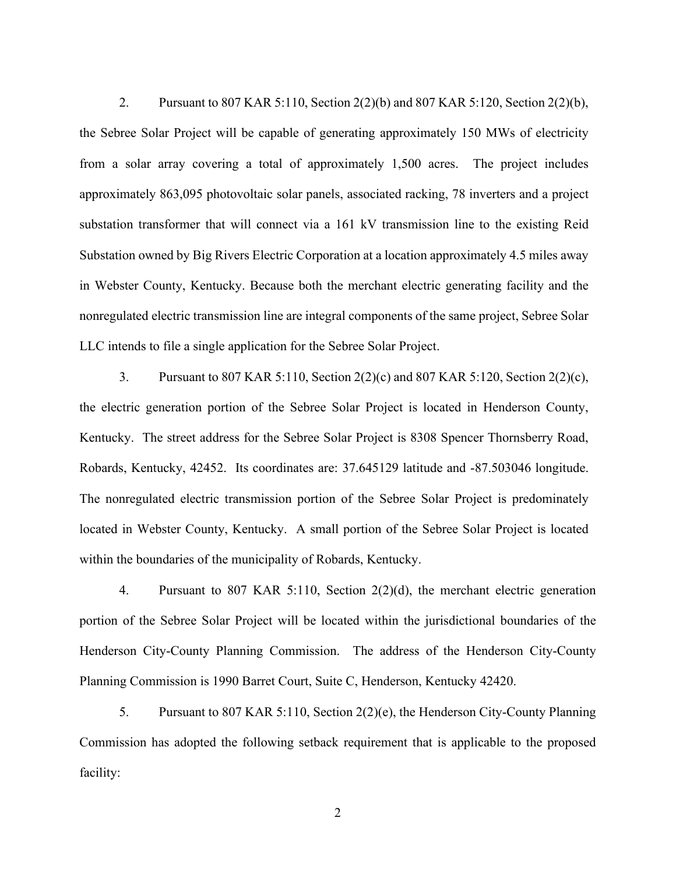2. Pursuant to 807 KAR 5:110, Section 2(2)(b) and 807 KAR 5:120, Section 2(2)(b), the Sebree Solar Project will be capable of generating approximately 150 MWs of electricity from a solar array covering a total of approximately 1,500 acres. The project includes approximately 863,095 photovoltaic solar panels, associated racking, 78 inverters and a project substation transformer that will connect via a 161 kV transmission line to the existing Reid Substation owned by Big Rivers Electric Corporation at a location approximately 4.5 miles away in Webster County, Kentucky. Because both the merchant electric generating facility and the nonregulated electric transmission line are integral components of the same project, Sebree Solar LLC intends to file a single application for the Sebree Solar Project.

3. Pursuant to 807 KAR 5:110, Section 2(2)(c) and 807 KAR 5:120, Section 2(2)(c), the electric generation portion of the Sebree Solar Project is located in Henderson County, Kentucky. The street address for the Sebree Solar Project is 8308 Spencer Thornsberry Road, Robards, Kentucky, 42452. Its coordinates are: 37.645129 latitude and -87.503046 longitude. The nonregulated electric transmission portion of the Sebree Solar Project is predominately located in Webster County, Kentucky. A small portion of the Sebree Solar Project is located within the boundaries of the municipality of Robards, Kentucky.

4. Pursuant to 807 KAR 5:110, Section 2(2)(d), the merchant electric generation portion of the Sebree Solar Project will be located within the jurisdictional boundaries of the Henderson City-County Planning Commission. The address of the Henderson City-County Planning Commission is 1990 Barret Court, Suite C, Henderson, Kentucky 42420.

5. Pursuant to 807 KAR 5:110, Section 2(2)(e), the Henderson City-County Planning Commission has adopted the following setback requirement that is applicable to the proposed facility:

2